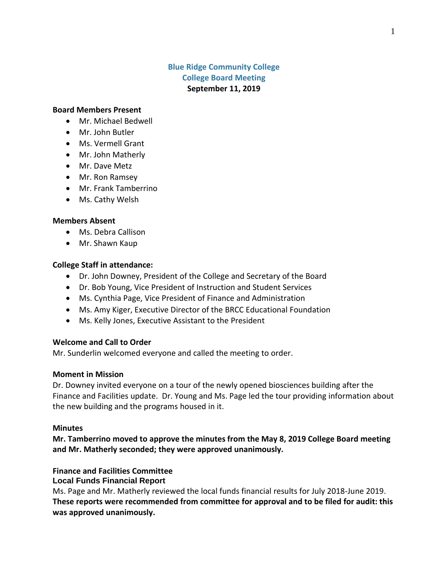# **Blue Ridge Community College College Board Meeting September 11, 2019**

#### **Board Members Present**

- Mr. Michael Bedwell
- Mr. John Butler
- Ms. Vermell Grant
- Mr. John Matherly
- Mr. Dave Metz
- Mr. Ron Ramsey
- Mr. Frank Tamberrino
- Ms. Cathy Welsh

#### **Members Absent**

- Ms. Debra Callison
- Mr. Shawn Kaup

### **College Staff in attendance:**

- Dr. John Downey, President of the College and Secretary of the Board
- Dr. Bob Young, Vice President of Instruction and Student Services
- Ms. Cynthia Page, Vice President of Finance and Administration
- Ms. Amy Kiger, Executive Director of the BRCC Educational Foundation
- Ms. Kelly Jones, Executive Assistant to the President

### **Welcome and Call to Order**

Mr. Sunderlin welcomed everyone and called the meeting to order.

### **Moment in Mission**

Dr. Downey invited everyone on a tour of the newly opened biosciences building after the Finance and Facilities update. Dr. Young and Ms. Page led the tour providing information about the new building and the programs housed in it.

#### **Minutes**

**Mr. Tamberrino moved to approve the minutes from the May 8, 2019 College Board meeting and Mr. Matherly seconded; they were approved unanimously.**

# **Finance and Facilities Committee**

**Local Funds Financial Report**

Ms. Page and Mr. Matherly reviewed the local funds financial results for July 2018-June 2019. **These reports were recommended from committee for approval and to be filed for audit: this was approved unanimously.**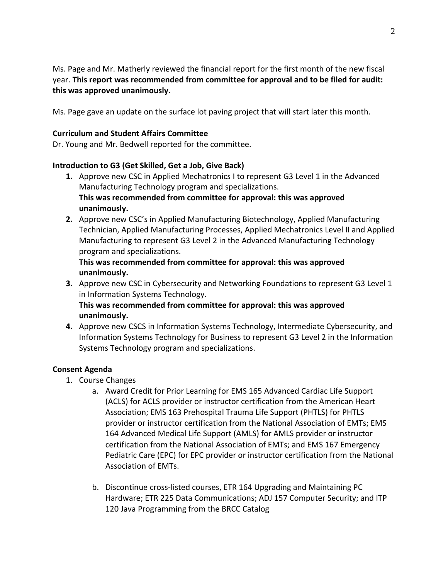Ms. Page and Mr. Matherly reviewed the financial report for the first month of the new fiscal year. **This report was recommended from committee for approval and to be filed for audit: this was approved unanimously.**

Ms. Page gave an update on the surface lot paving project that will start later this month.

### **Curriculum and Student Affairs Committee**

Dr. Young and Mr. Bedwell reported for the committee.

### **Introduction to G3 (Get Skilled, Get a Job, Give Back)**

- **1.** Approve new CSC in Applied Mechatronics I to represent G3 Level 1 in the Advanced Manufacturing Technology program and specializations. **This was recommended from committee for approval: this was approved unanimously.**
- **2.** Approve new CSC's in Applied Manufacturing Biotechnology, Applied Manufacturing Technician, Applied Manufacturing Processes, Applied Mechatronics Level II and Applied Manufacturing to represent G3 Level 2 in the Advanced Manufacturing Technology program and specializations.

# **This was recommended from committee for approval: this was approved unanimously.**

**3.** Approve new CSC in Cybersecurity and Networking Foundations to represent G3 Level 1 in Information Systems Technology.

**This was recommended from committee for approval: this was approved unanimously.**

**4.** Approve new CSCS in Information Systems Technology, Intermediate Cybersecurity, and Information Systems Technology for Business to represent G3 Level 2 in the Information Systems Technology program and specializations.

# **Consent Agenda**

- 1. Course Changes
	- a. Award Credit for Prior Learning for EMS 165 Advanced Cardiac Life Support (ACLS) for ACLS provider or instructor certification from the American Heart Association; EMS 163 Prehospital Trauma Life Support (PHTLS) for PHTLS provider or instructor certification from the National Association of EMTs; EMS 164 Advanced Medical Life Support (AMLS) for AMLS provider or instructor certification from the National Association of EMTs; and EMS 167 Emergency Pediatric Care (EPC) for EPC provider or instructor certification from the National Association of EMTs.
	- b. Discontinue cross-listed courses, ETR 164 Upgrading and Maintaining PC Hardware; ETR 225 Data Communications; ADJ 157 Computer Security; and ITP 120 Java Programming from the BRCC Catalog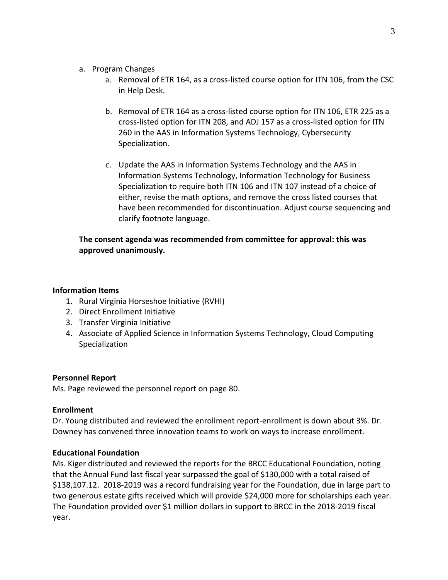- a. Program Changes
	- a. Removal of ETR 164, as a cross-listed course option for ITN 106, from the CSC in Help Desk.
	- b. Removal of ETR 164 as a cross-listed course option for ITN 106, ETR 225 as a cross-listed option for ITN 208, and ADJ 157 as a cross-listed option for ITN 260 in the AAS in Information Systems Technology, Cybersecurity Specialization.
	- c. Update the AAS in Information Systems Technology and the AAS in Information Systems Technology, Information Technology for Business Specialization to require both ITN 106 and ITN 107 instead of a choice of either, revise the math options, and remove the cross listed courses that have been recommended for discontinuation. Adjust course sequencing and clarify footnote language.

# **The consent agenda was recommended from committee for approval: this was approved unanimously.**

# **Information Items**

- 1. Rural Virginia Horseshoe Initiative (RVHI)
- 2. Direct Enrollment Initiative
- 3. Transfer Virginia Initiative
- 4. Associate of Applied Science in Information Systems Technology, Cloud Computing Specialization

# **Personnel Report**

Ms. Page reviewed the personnel report on page 80.

# **Enrollment**

Dr. Young distributed and reviewed the enrollment report-enrollment is down about 3%. Dr. Downey has convened three innovation teams to work on ways to increase enrollment.

# **Educational Foundation**

Ms. Kiger distributed and reviewed the reports for the BRCC Educational Foundation, noting that the Annual Fund last fiscal year surpassed the goal of \$130,000 with a total raised of \$138,107.12. 2018-2019 was a record fundraising year for the Foundation, due in large part to two generous estate gifts received which will provide \$24,000 more for scholarships each year. The Foundation provided over \$1 million dollars in support to BRCC in the 2018-2019 fiscal year.